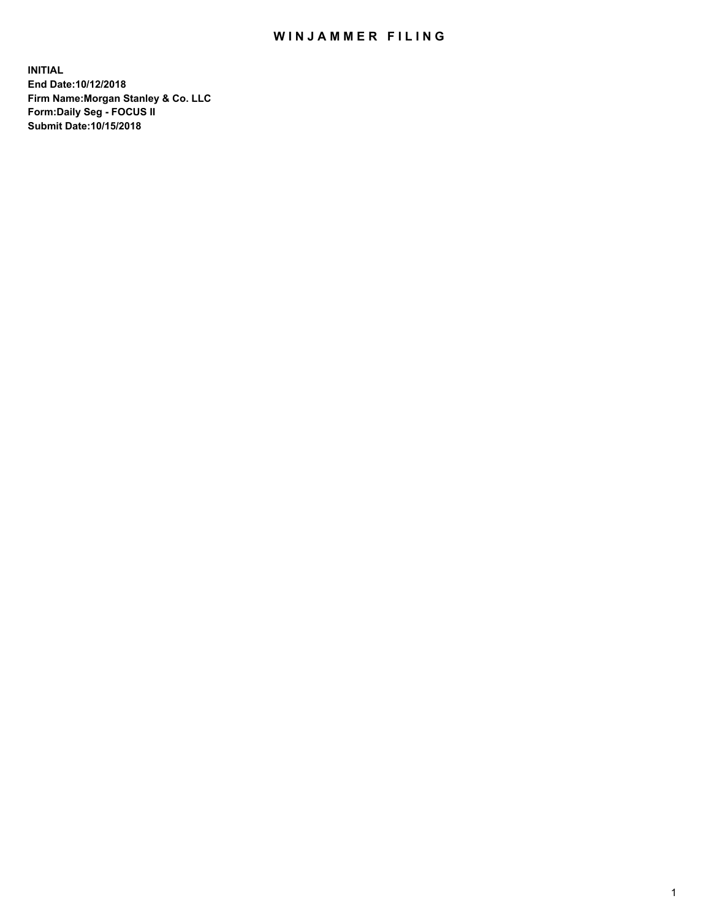## WIN JAMMER FILING

**INITIAL End Date:10/12/2018 Firm Name:Morgan Stanley & Co. LLC Form:Daily Seg - FOCUS II Submit Date:10/15/2018**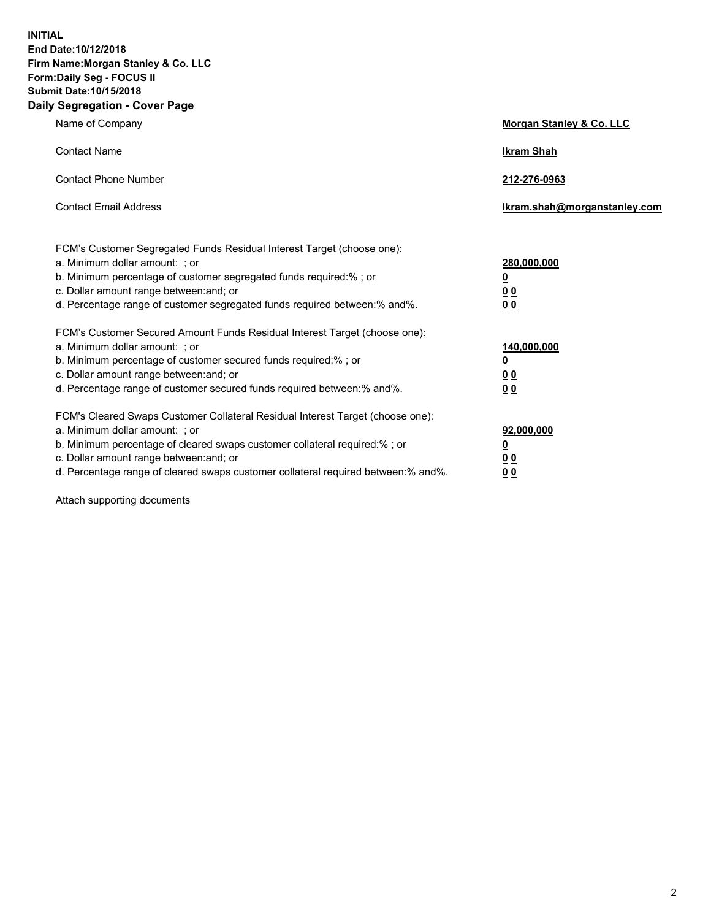**INITIAL End Date:10/12/2018 Firm Name:Morgan Stanley & Co. LLC Form:Daily Seg - FOCUS II Submit Date:10/15/2018 Daily Segregation - Cover Page**

| Name of Company                                                                                                        | Morgan Stanley & Co. LLC     |
|------------------------------------------------------------------------------------------------------------------------|------------------------------|
| <b>Contact Name</b>                                                                                                    | <b>Ikram Shah</b>            |
| <b>Contact Phone Number</b>                                                                                            | 212-276-0963                 |
| <b>Contact Email Address</b>                                                                                           | Ikram.shah@morganstanley.com |
| FCM's Customer Segregated Funds Residual Interest Target (choose one):                                                 |                              |
| a. Minimum dollar amount: ; or                                                                                         | 280,000,000                  |
| b. Minimum percentage of customer segregated funds required:% ; or                                                     | <u>0</u>                     |
| c. Dollar amount range between: and; or<br>d. Percentage range of customer segregated funds required between: % and %. | <u>0 0</u><br>0 Q            |
| FCM's Customer Secured Amount Funds Residual Interest Target (choose one):                                             |                              |
| a. Minimum dollar amount: ; or                                                                                         | 140,000,000                  |
| b. Minimum percentage of customer secured funds required:%; or                                                         | <u>0</u>                     |
| c. Dollar amount range between: and; or                                                                                | 0 <sub>0</sub>               |
| d. Percentage range of customer secured funds required between:% and%.                                                 | 0 <sub>0</sub>               |
| FCM's Cleared Swaps Customer Collateral Residual Interest Target (choose one):                                         |                              |
| a. Minimum dollar amount: ; or                                                                                         | 92,000,000                   |
| b. Minimum percentage of cleared swaps customer collateral required:% ; or                                             | <u>0</u>                     |
| c. Dollar amount range between: and; or                                                                                | 0 Q                          |
| d. Percentage range of cleared swaps customer collateral required between:% and%.                                      | 00                           |

Attach supporting documents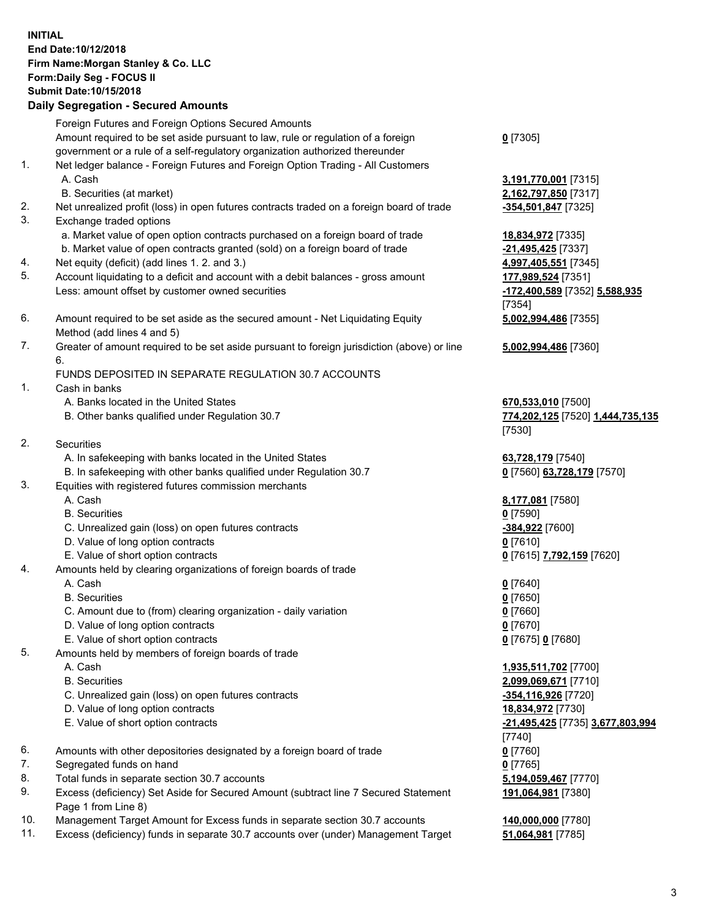## **INITIAL End Date:10/12/2018 Firm Name:Morgan Stanley & Co. LLC Form:Daily Seg - FOCUS II Submit Date:10/15/2018**

**Daily Segregation - Secured Amounts** Foreign Futures and Foreign Options Secured Amounts Amount required to be set aside pursuant to law, rule or regulation of a foreign government or a rule of a self-regulatory organization authorized thereunder 1. Net ledger balance - Foreign Futures and Foreign Option Trading - All Customers A. Cash **3,191,770,001** [7315] B. Securities (at market) **2,162,797,850** [7317] 2. Net unrealized profit (loss) in open futures contracts traded on a foreign board of trade **-354,501,847** [7325] 3. Exchange traded options a. Market value of open option contracts purchased on a foreign board of trade **18,834,972** [7335] b. Market value of open contracts granted (sold) on a foreign board of trade **-21,495,425** [7337] 4. Net equity (deficit) (add lines 1. 2. and 3.) **4,997,405,551** [7345] 5. Account liquidating to a deficit and account with a debit balances - gross amount **177,989,524** [7351] Less: amount offset by customer owned securities **-172,400,589** [7352] **5,588,935** 6. Amount required to be set aside as the secured amount - Net Liquidating Equity Method (add lines 4 and 5) 7. Greater of amount required to be set aside pursuant to foreign jurisdiction (above) or line 6. FUNDS DEPOSITED IN SEPARATE REGULATION 30.7 ACCOUNTS 1. Cash in banks A. Banks located in the United States **670,533,010** [7500] B. Other banks qualified under Regulation 30.7 **774,202,125** [7520] **1,444,735,135** 2. Securities A. In safekeeping with banks located in the United States **63,728,179** [7540] B. In safekeeping with other banks qualified under Regulation 30.7 **0** [7560] **63,728,179** [7570] 3. Equities with registered futures commission merchants A. Cash **8,177,081** [7580] B. Securities **0** [7590] C. Unrealized gain (loss) on open futures contracts **-384,922** [7600] D. Value of long option contracts **0** [7610] E. Value of short option contracts **0** [7615] **7,792,159** [7620] 4. Amounts held by clearing organizations of foreign boards of trade A. Cash **0** [7640] B. Securities **0** [7650] C. Amount due to (from) clearing organization - daily variation **0** [7660] D. Value of long option contracts **0** [7670] E. Value of short option contracts **0** [7675] **0** [7680] 5. Amounts held by members of foreign boards of trade

- 
- 
- C. Unrealized gain (loss) on open futures contracts **-354,116,926** [7720]
- D. Value of long option contracts **18,834,972** [7730]
- E. Value of short option contracts **-21,495,425** [7735] **3,677,803,994**
- 6. Amounts with other depositories designated by a foreign board of trade **0** [7760]
- 7. Segregated funds on hand **0** [7765]
- 8. Total funds in separate section 30.7 accounts **5,194,059,467** [7770]
- 9. Excess (deficiency) Set Aside for Secured Amount (subtract line 7 Secured Statement Page 1 from Line 8)
- 10. Management Target Amount for Excess funds in separate section 30.7 accounts **140,000,000** [7780]
- 11. Excess (deficiency) funds in separate 30.7 accounts over (under) Management Target **51,064,981** [7785]

**0** [7305]

[7354] **5,002,994,486** [7355]

**5,002,994,486** [7360]

[7530]

 A. Cash **1,935,511,702** [7700] B. Securities **2,099,069,671** [7710] [7740] **191,064,981** [7380]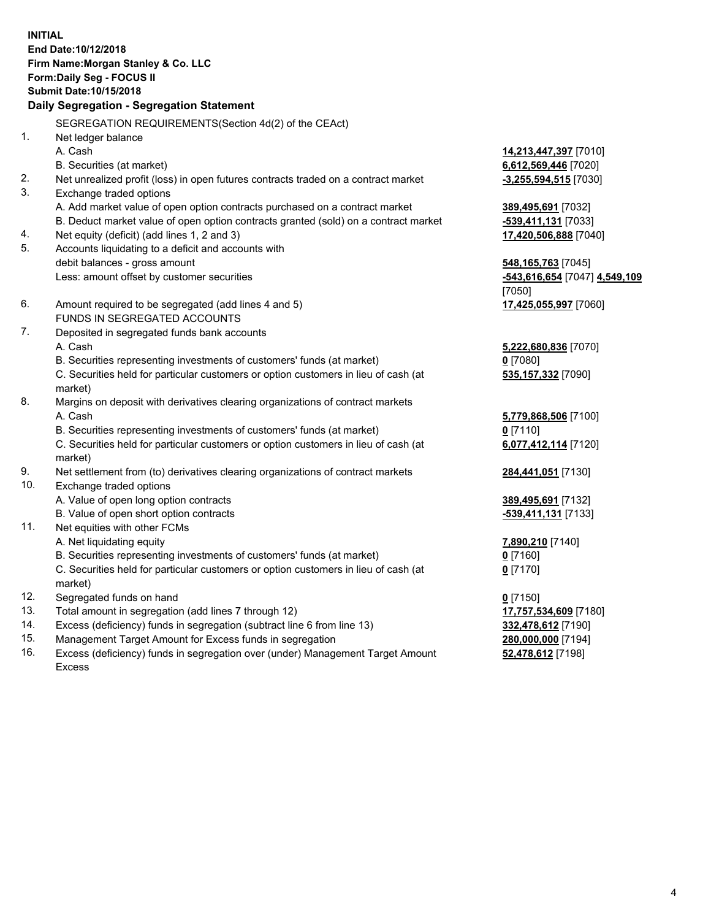**INITIAL End Date:10/12/2018 Firm Name:Morgan Stanley & Co. LLC Form:Daily Seg - FOCUS II Submit Date:10/15/2018 Daily Segregation - Segregation Statement** SEGREGATION REQUIREMENTS(Section 4d(2) of the CEAct) 1. Net ledger balance A. Cash **14,213,447,397** [7010] B. Securities (at market) **6,612,569,446** [7020] 2. Net unrealized profit (loss) in open futures contracts traded on a contract market **-3,255,594,515** [7030] 3. Exchange traded options A. Add market value of open option contracts purchased on a contract market **389,495,691** [7032] B. Deduct market value of open option contracts granted (sold) on a contract market **-539,411,131** [7033] 4. Net equity (deficit) (add lines 1, 2 and 3) **17,420,506,888** [7040] 5. Accounts liquidating to a deficit and accounts with debit balances - gross amount **548,165,763** [7045] Less: amount offset by customer securities **-543,616,654** [7047] **4,549,109** [7050] 6. Amount required to be segregated (add lines 4 and 5) **17,425,055,997** [7060] FUNDS IN SEGREGATED ACCOUNTS 7. Deposited in segregated funds bank accounts A. Cash **5,222,680,836** [7070] B. Securities representing investments of customers' funds (at market) **0** [7080] C. Securities held for particular customers or option customers in lieu of cash (at market) **535,157,332** [7090] 8. Margins on deposit with derivatives clearing organizations of contract markets A. Cash **5,779,868,506** [7100] B. Securities representing investments of customers' funds (at market) **0** [7110] C. Securities held for particular customers or option customers in lieu of cash (at market) **6,077,412,114** [7120] 9. Net settlement from (to) derivatives clearing organizations of contract markets **284,441,051** [7130] 10. Exchange traded options A. Value of open long option contracts **389,495,691** [7132] B. Value of open short option contracts **and the set of our of the set of our of the set of our of the set of the set of the set of the set of the set of the set of the set of the set of the set of the set of the set of th** 11. Net equities with other FCMs A. Net liquidating equity **7,890,210** [7140] B. Securities representing investments of customers' funds (at market) **0** [7160] C. Securities held for particular customers or option customers in lieu of cash (at market) **0** [7170] 12. Segregated funds on hand **0** [7150] 13. Total amount in segregation (add lines 7 through 12) **17,757,534,609** [7180] 14. Excess (deficiency) funds in segregation (subtract line 6 from line 13) **332,478,612** [7190]

- 15. Management Target Amount for Excess funds in segregation **280,000,000** [7194]
- 16. Excess (deficiency) funds in segregation over (under) Management Target Amount Excess

**52,478,612** [7198]